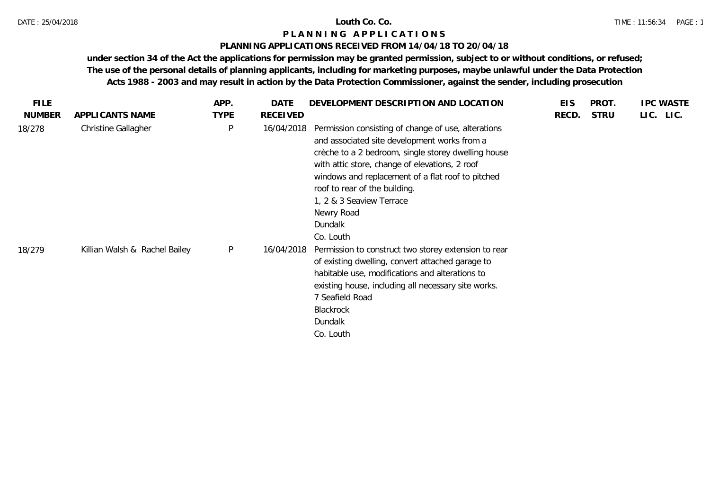## **PLANNING APPLICATIONS RECEIVED FROM 14/04/18 TO 20/04/18**

| <b>FILE</b>   |                               | APP.        | DATE            | DEVELOPMENT DESCRIPTION AND LOCATION                                                                                                                                                                                                                                                                                                                                 | <b>EIS</b> | PROT.       | <b>IPC WASTE</b> |
|---------------|-------------------------------|-------------|-----------------|----------------------------------------------------------------------------------------------------------------------------------------------------------------------------------------------------------------------------------------------------------------------------------------------------------------------------------------------------------------------|------------|-------------|------------------|
| <b>NUMBER</b> | APPLICANTS NAME               | <b>TYPE</b> | <b>RECEIVED</b> |                                                                                                                                                                                                                                                                                                                                                                      | RECD.      | <b>STRU</b> | LIC. LIC.        |
| 18/278        | Christine Gallagher           | P           | 16/04/2018      | Permission consisting of change of use, alterations<br>and associated site development works from a<br>crèche to a 2 bedroom, single storey dwelling house<br>with attic store, change of elevations, 2 roof<br>windows and replacement of a flat roof to pitched<br>roof to rear of the building.<br>1, 2 & 3 Seaview Terrace<br>Newry Road<br>Dundalk<br>Co. Louth |            |             |                  |
| 18/279        | Killian Walsh & Rachel Bailey | P           | 16/04/2018      | Permission to construct two storey extension to rear<br>of existing dwelling, convert attached garage to<br>habitable use, modifications and alterations to<br>existing house, including all necessary site works.<br>7 Seafield Road<br>Blackrock<br>Dundalk<br>Co. Louth                                                                                           |            |             |                  |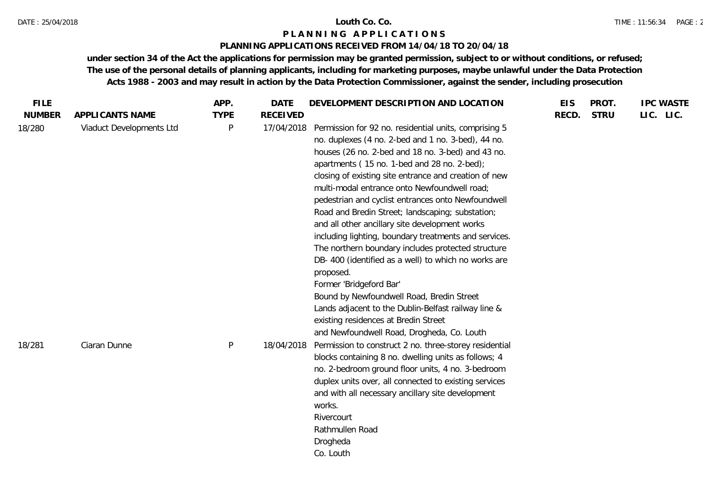### DATE : 25/04/2018 **Louth Co. Co.**

## **P L A N N I N G A P P L I C A T I O N S**

## **PLANNING APPLICATIONS RECEIVED FROM 14/04/18 TO 20/04/18**

| <b>FILE</b>   |                          | APP.         | <b>DATE</b>     | DEVELOPMENT DESCRIPTION AND LOCATION                                                                                                                                                                                                                                                                                                                                                                                                                                                                                                                                                                                                                                                                                                                                                                                                            | <b>EIS</b> | PROT.       | <b>IPC WASTE</b> |
|---------------|--------------------------|--------------|-----------------|-------------------------------------------------------------------------------------------------------------------------------------------------------------------------------------------------------------------------------------------------------------------------------------------------------------------------------------------------------------------------------------------------------------------------------------------------------------------------------------------------------------------------------------------------------------------------------------------------------------------------------------------------------------------------------------------------------------------------------------------------------------------------------------------------------------------------------------------------|------------|-------------|------------------|
| <b>NUMBER</b> | APPLICANTS NAME          | <b>TYPE</b>  | <b>RECEIVED</b> |                                                                                                                                                                                                                                                                                                                                                                                                                                                                                                                                                                                                                                                                                                                                                                                                                                                 | RECD.      | <b>STRU</b> | LIC. LIC.        |
| 18/280        | Viaduct Developments Ltd | $\mathsf{P}$ | 17/04/2018      | Permission for 92 no. residential units, comprising 5<br>no. duplexes (4 no. 2-bed and 1 no. 3-bed), 44 no.<br>houses (26 no. 2-bed and 18 no. 3-bed) and 43 no.<br>apartments (15 no. 1-bed and 28 no. 2-bed);<br>closing of existing site entrance and creation of new<br>multi-modal entrance onto Newfoundwell road;<br>pedestrian and cyclist entrances onto Newfoundwell<br>Road and Bredin Street; landscaping; substation;<br>and all other ancillary site development works<br>including lighting, boundary treatments and services.<br>The northern boundary includes protected structure<br>DB- 400 (identified as a well) to which no works are<br>proposed.<br>Former 'Bridgeford Bar'<br>Bound by Newfoundwell Road, Bredin Street<br>Lands adjacent to the Dublin-Belfast railway line &<br>existing residences at Bredin Street |            |             |                  |
| 18/281        | Ciaran Dunne             | $\sf P$      | 18/04/2018      | and Newfoundwell Road, Drogheda, Co. Louth<br>Permission to construct 2 no. three-storey residential<br>blocks containing 8 no. dwelling units as follows; 4<br>no. 2-bedroom ground floor units, 4 no. 3-bedroom<br>duplex units over, all connected to existing services<br>and with all necessary ancillary site development<br>works.<br>Rivercourt<br>Rathmullen Road<br>Drogheda<br>Co. Louth                                                                                                                                                                                                                                                                                                                                                                                                                                             |            |             |                  |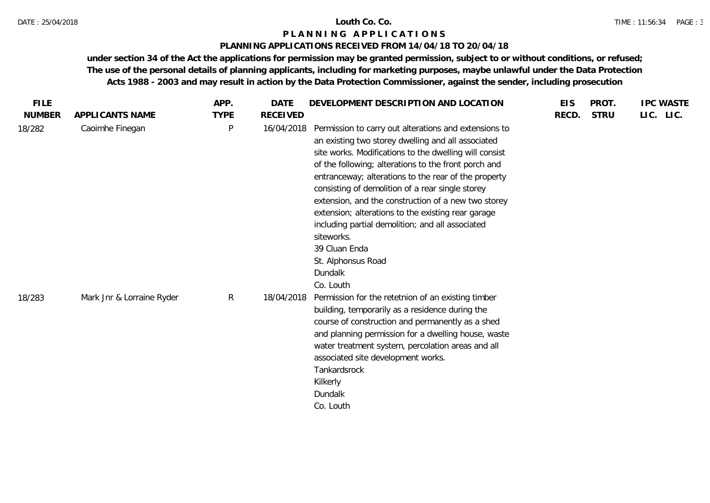## **PLANNING APPLICATIONS RECEIVED FROM 14/04/18 TO 20/04/18**

| <b>FILE</b>   |                           | APP.         | DATE            | DEVELOPMENT DESCRIPTION AND LOCATION                                                                                                                                                                                                                                                                                                                                                                                                                                                                                                                                                    | <b>EIS</b> | PROT.       | <b>IPC WASTE</b> |
|---------------|---------------------------|--------------|-----------------|-----------------------------------------------------------------------------------------------------------------------------------------------------------------------------------------------------------------------------------------------------------------------------------------------------------------------------------------------------------------------------------------------------------------------------------------------------------------------------------------------------------------------------------------------------------------------------------------|------------|-------------|------------------|
| <b>NUMBER</b> | APPLICANTS NAME           | <b>TYPE</b>  | <b>RECEIVED</b> |                                                                                                                                                                                                                                                                                                                                                                                                                                                                                                                                                                                         | RECD.      | <b>STRU</b> | LIC. LIC.        |
| 18/282        | Caoimhe Finegan           | $\mathsf{P}$ | 16/04/2018      | Permission to carry out alterations and extensions to<br>an existing two storey dwelling and all associated<br>site works. Modifications to the dwelling will consist<br>of the following; alterations to the front porch and<br>entranceway; alterations to the rear of the property<br>consisting of demolition of a rear single storey<br>extension, and the construction of a new two storey<br>extension; alterations to the existing rear garage<br>including partial demolition; and all associated<br>siteworks.<br>39 Cluan Enda<br>St. Alphonsus Road<br>Dundalk<br>Co. Louth |            |             |                  |
| 18/283        | Mark Jnr & Lorraine Ryder | R            | 18/04/2018      | Permission for the retetnion of an existing timber<br>building, temporarily as a residence during the<br>course of construction and permanently as a shed<br>and planning permission for a dwelling house, waste<br>water treatment system, percolation areas and all<br>associated site development works.<br>Tankardsrock<br>Kilkerly<br>Dundalk<br>Co. Louth                                                                                                                                                                                                                         |            |             |                  |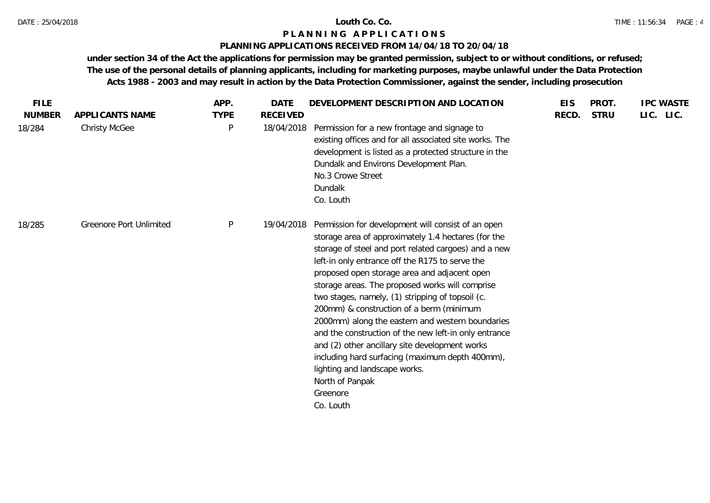## **PLANNING APPLICATIONS RECEIVED FROM 14/04/18 TO 20/04/18**

| <b>FILE</b>   |                                | APP.         | <b>DATE</b>     | DEVELOPMENT DESCRIPTION AND LOCATION                                                                                                                                                                                                                                                                                                                                                                                                                                                                                                                                                                                                                                                                                   | <b>EIS</b> | PROT.       | <b>IPC WASTE</b> |
|---------------|--------------------------------|--------------|-----------------|------------------------------------------------------------------------------------------------------------------------------------------------------------------------------------------------------------------------------------------------------------------------------------------------------------------------------------------------------------------------------------------------------------------------------------------------------------------------------------------------------------------------------------------------------------------------------------------------------------------------------------------------------------------------------------------------------------------------|------------|-------------|------------------|
| <b>NUMBER</b> | APPLICANTS NAME                | <b>TYPE</b>  | <b>RECEIVED</b> |                                                                                                                                                                                                                                                                                                                                                                                                                                                                                                                                                                                                                                                                                                                        | RECD.      | <b>STRU</b> | LIC. LIC.        |
| 18/284        | <b>Christy McGee</b>           | $\mathsf{P}$ | 18/04/2018      | Permission for a new frontage and signage to<br>existing offices and for all associated site works. The<br>development is listed as a protected structure in the<br>Dundalk and Environs Development Plan.<br>No.3 Crowe Street<br>Dundalk<br>Co. Louth                                                                                                                                                                                                                                                                                                                                                                                                                                                                |            |             |                  |
| 18/285        | <b>Greenore Port Unlimited</b> | $\mathsf{P}$ | 19/04/2018      | Permission for development will consist of an open<br>storage area of approximately 1.4 hectares (for the<br>storage of steel and port related cargoes) and a new<br>left-in only entrance off the R175 to serve the<br>proposed open storage area and adjacent open<br>storage areas. The proposed works will comprise<br>two stages, namely, (1) stripping of topsoil (c.<br>200mm) & construction of a berm (minimum<br>2000mm) along the eastern and western boundaries<br>and the construction of the new left-in only entrance<br>and (2) other ancillary site development works<br>including hard surfacing (maximum depth 400mm),<br>lighting and landscape works.<br>North of Panpak<br>Greenore<br>Co. Louth |            |             |                  |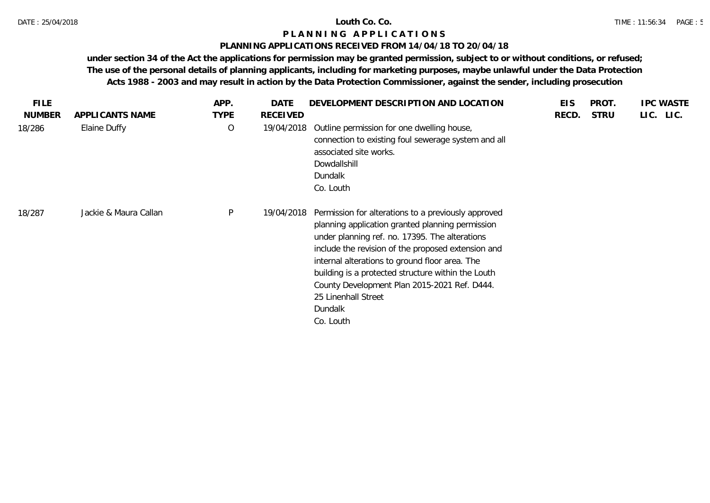## **PLANNING APPLICATIONS RECEIVED FROM 14/04/18 TO 20/04/18**

| <b>FILE</b>   |                       | APP.        | DATE       | DEVELOPMENT DESCRIPTION AND LOCATION                                                                                                                                                                                                                                                                                                                                                                                   | <b>EIS</b> | PROT.       | <b>IPC WASTE</b> |
|---------------|-----------------------|-------------|------------|------------------------------------------------------------------------------------------------------------------------------------------------------------------------------------------------------------------------------------------------------------------------------------------------------------------------------------------------------------------------------------------------------------------------|------------|-------------|------------------|
| <b>NUMBER</b> | APPLICANTS NAME       | <b>TYPE</b> | RECEIVED   |                                                                                                                                                                                                                                                                                                                                                                                                                        | RECD.      | <b>STRU</b> | LIC. LIC.        |
| 18/286        | Elaine Duffy          | $\circ$     | 19/04/2018 | Outline permission for one dwelling house,<br>connection to existing foul sewerage system and all<br>associated site works.<br>Dowdallshill<br>Dundalk<br>Co. Louth                                                                                                                                                                                                                                                    |            |             |                  |
| 18/287        | Jackie & Maura Callan | P           | 19/04/2018 | Permission for alterations to a previously approved<br>planning application granted planning permission<br>under planning ref. no. 17395. The alterations<br>include the revision of the proposed extension and<br>internal alterations to ground floor area. The<br>building is a protected structure within the Louth<br>County Development Plan 2015-2021 Ref. D444.<br>25 Linenhall Street<br>Dundalk<br>Co. Louth |            |             |                  |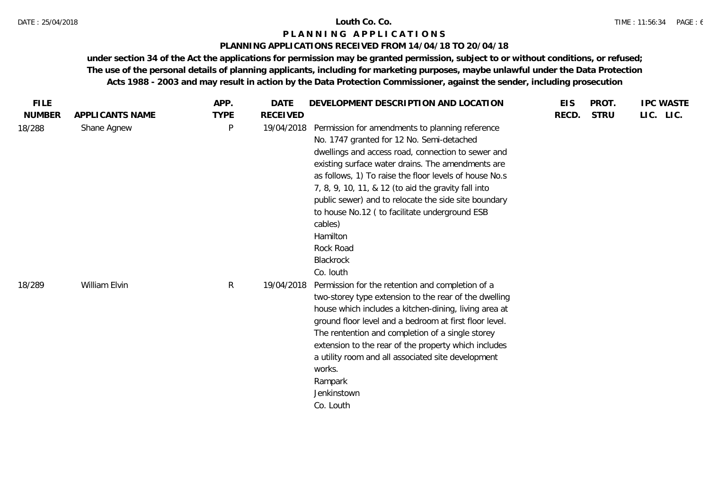## **PLANNING APPLICATIONS RECEIVED FROM 14/04/18 TO 20/04/18**

| <b>FILE</b>   |                 | APP.        | <b>DATE</b>     | DEVELOPMENT DESCRIPTION AND LOCATION                                                                                                                                                                                                                                                                                                                                                                                                                                                             | <b>EIS</b> | PROT.       | <b>IPC WASTE</b> |
|---------------|-----------------|-------------|-----------------|--------------------------------------------------------------------------------------------------------------------------------------------------------------------------------------------------------------------------------------------------------------------------------------------------------------------------------------------------------------------------------------------------------------------------------------------------------------------------------------------------|------------|-------------|------------------|
| <b>NUMBER</b> | APPLICANTS NAME | <b>TYPE</b> | <b>RECEIVED</b> |                                                                                                                                                                                                                                                                                                                                                                                                                                                                                                  | RECD.      | <b>STRU</b> | LIC. LIC.        |
| 18/288        | Shane Agnew     | P           | 19/04/2018      | Permission for amendments to planning reference<br>No. 1747 granted for 12 No. Semi-detached<br>dwellings and access road, connection to sewer and<br>existing surface water drains. The amendments are<br>as follows, 1) To raise the floor levels of house No.s<br>7, 8, 9, 10, 11, & 12 (to aid the gravity fall into<br>public sewer) and to relocate the side site boundary<br>to house No.12 ( to facilitate underground ESB<br>cables)<br>Hamilton<br>Rock Road<br>Blackrock<br>Co. louth |            |             |                  |
| 18/289        | William Elvin   | R           | 19/04/2018      | Permission for the retention and completion of a<br>two-storey type extension to the rear of the dwelling<br>house which includes a kitchen-dining, living area at<br>ground floor level and a bedroom at first floor level.<br>The rentention and completion of a single storey<br>extension to the rear of the property which includes<br>a utility room and all associated site development<br>works.<br>Rampark<br>Jenkinstown<br>Co. Louth                                                  |            |             |                  |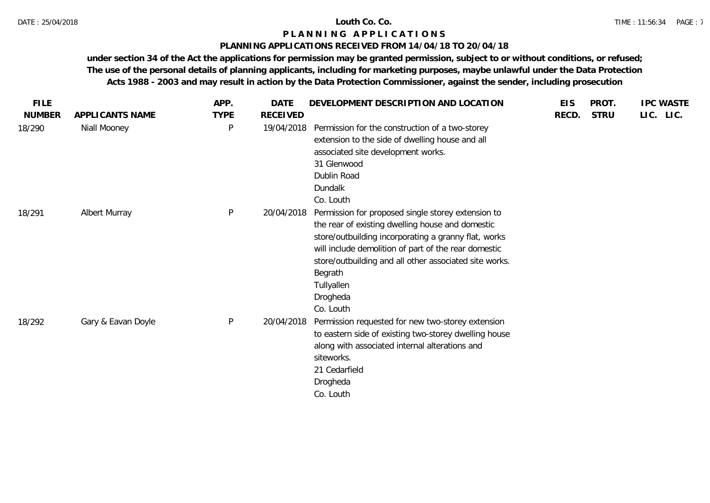## **PLANNING APPLICATIONS RECEIVED FROM 14/04/18 TO 20/04/18**

| <b>FILE</b>   |                    | APP.        | <b>DATE</b> | DEVELOPMENT DESCRIPTION AND LOCATION                                                                                                                                                                                                                                                                                               | <b>EIS</b> | PROT.       | <b>IPC WASTE</b> |
|---------------|--------------------|-------------|-------------|------------------------------------------------------------------------------------------------------------------------------------------------------------------------------------------------------------------------------------------------------------------------------------------------------------------------------------|------------|-------------|------------------|
| <b>NUMBER</b> | APPLICANTS NAME    | <b>TYPE</b> | RECEIVED    |                                                                                                                                                                                                                                                                                                                                    | RECD.      | <b>STRU</b> | LIC. LIC.        |
| 18/290        | Niall Mooney       | P           | 19/04/2018  | Permission for the construction of a two-storey<br>extension to the side of dwelling house and all<br>associated site development works.<br>31 Glenwood<br>Dublin Road<br>Dundalk<br>Co. Louth                                                                                                                                     |            |             |                  |
| 18/291        | Albert Murray      | ${\sf P}$   | 20/04/2018  | Permission for proposed single storey extension to<br>the rear of existing dwelling house and domestic<br>store/outbuilding incorporating a granny flat, works<br>will include demolition of part of the rear domestic<br>store/outbuilding and all other associated site works.<br>Begrath<br>Tullyallen<br>Drogheda<br>Co. Louth |            |             |                  |
| 18/292        | Gary & Eavan Doyle | P           | 20/04/2018  | Permission requested for new two-storey extension<br>to eastern side of existing two-storey dwelling house<br>along with associated internal alterations and<br>siteworks.<br>21 Cedarfield<br>Drogheda<br>Co. Louth                                                                                                               |            |             |                  |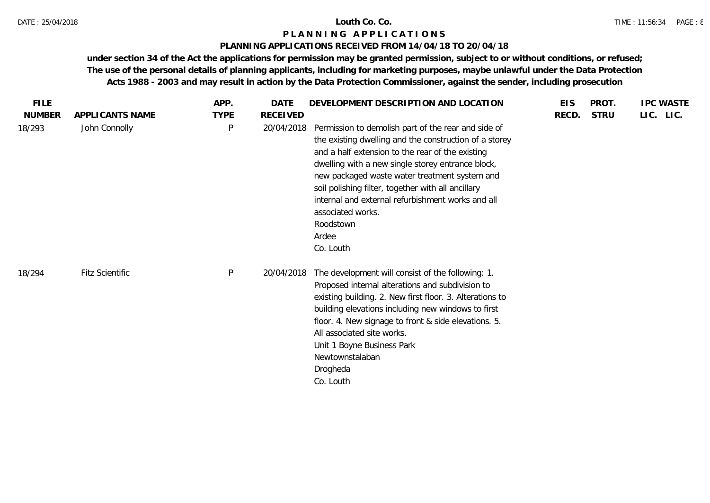## **PLANNING APPLICATIONS RECEIVED FROM 14/04/18 TO 20/04/18**

| <b>FILE</b>   |                        | APP.        | <b>DATE</b>     | DEVELOPMENT DESCRIPTION AND LOCATION                                                                                                                                                                                                                                                                                                                                                                                                       | <b>EIS</b> | PROT.       | <b>IPC WASTE</b> |
|---------------|------------------------|-------------|-----------------|--------------------------------------------------------------------------------------------------------------------------------------------------------------------------------------------------------------------------------------------------------------------------------------------------------------------------------------------------------------------------------------------------------------------------------------------|------------|-------------|------------------|
| <b>NUMBER</b> | APPLICANTS NAME        | <b>TYPE</b> | <b>RECEIVED</b> |                                                                                                                                                                                                                                                                                                                                                                                                                                            | RECD.      | <b>STRU</b> | LIC. LIC.        |
| 18/293        | John Connolly          | P           | 20/04/2018      | Permission to demolish part of the rear and side of<br>the existing dwelling and the construction of a storey<br>and a half extension to the rear of the existing<br>dwelling with a new single storey entrance block,<br>new packaged waste water treatment system and<br>soil polishing filter, together with all ancillary<br>internal and external refurbishment works and all<br>associated works.<br>Roodstown<br>Ardee<br>Co. Louth |            |             |                  |
| 18/294        | <b>Fitz Scientific</b> | P           | 20/04/2018      | The development will consist of the following: 1.<br>Proposed internal alterations and subdivision to<br>existing building. 2. New first floor. 3. Alterations to<br>building elevations including new windows to first<br>floor. 4. New signage to front & side elevations. 5.<br>All associated site works.<br>Unit 1 Boyne Business Park<br>Newtownstalaban<br>Drogheda<br>Co. Louth                                                    |            |             |                  |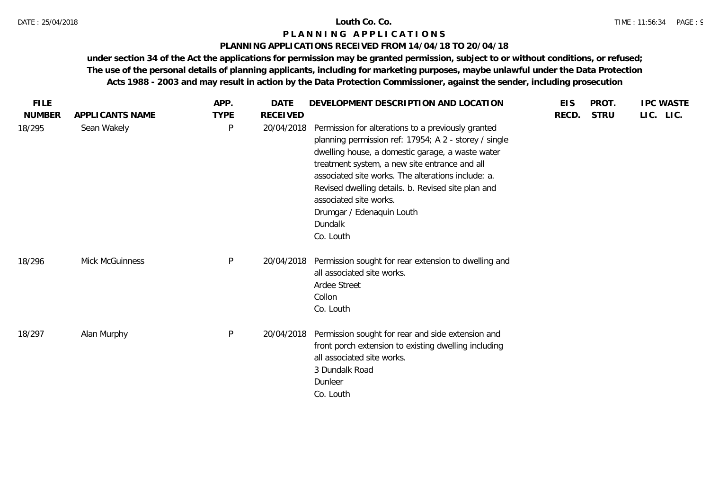## **PLANNING APPLICATIONS RECEIVED FROM 14/04/18 TO 20/04/18**

| <b>FILE</b>   |                 | APP.         | DATE            | DEVELOPMENT DESCRIPTION AND LOCATION                                                                                                                                                                                                                                                                                                                                                                        | <b>EIS</b> | PROT.       | <b>IPC WASTE</b> |
|---------------|-----------------|--------------|-----------------|-------------------------------------------------------------------------------------------------------------------------------------------------------------------------------------------------------------------------------------------------------------------------------------------------------------------------------------------------------------------------------------------------------------|------------|-------------|------------------|
| <b>NUMBER</b> | APPLICANTS NAME | <b>TYPE</b>  | <b>RECEIVED</b> |                                                                                                                                                                                                                                                                                                                                                                                                             | RECD.      | <b>STRU</b> | LIC. LIC.        |
| 18/295        | Sean Wakely     | $\mathsf{P}$ | 20/04/2018      | Permission for alterations to a previously granted<br>planning permission ref: 17954; A 2 - storey / single<br>dwelling house, a domestic garage, a waste water<br>treatment system, a new site entrance and all<br>associated site works. The alterations include: a.<br>Revised dwelling details. b. Revised site plan and<br>associated site works.<br>Drumgar / Edenaquin Louth<br>Dundalk<br>Co. Louth |            |             |                  |
| 18/296        | Mick McGuinness | $\mathsf{P}$ | 20/04/2018      | Permission sought for rear extension to dwelling and<br>all associated site works.<br>Ardee Street<br>Collon<br>Co. Louth                                                                                                                                                                                                                                                                                   |            |             |                  |
| 18/297        | Alan Murphy     | $\mathsf{P}$ | 20/04/2018      | Permission sought for rear and side extension and<br>front porch extension to existing dwelling including<br>all associated site works.<br>3 Dundalk Road<br>Dunleer<br>Co. Louth                                                                                                                                                                                                                           |            |             |                  |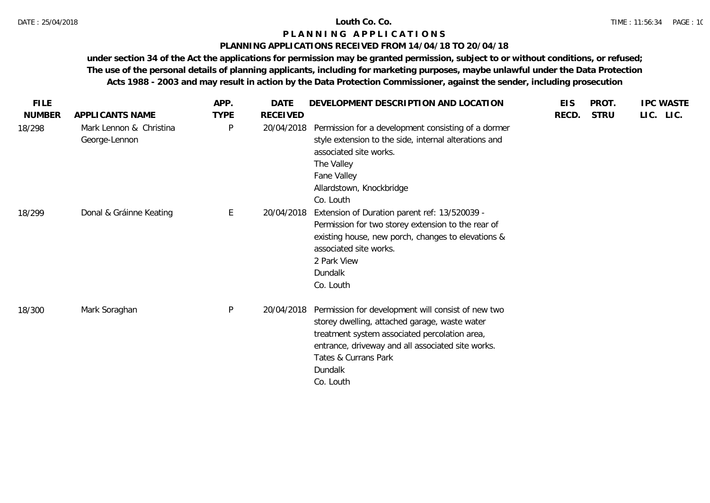### **PLANNING APPLICATIONS RECEIVED FROM 14/04/18 TO 20/04/18**

| <b>FILE</b>   |                                          | APP.        | <b>DATE</b>     | DEVELOPMENT DESCRIPTION AND LOCATION                                                                                                                                                                                                                      | <b>EIS</b> | PROT.       | <b>IPC WASTE</b> |
|---------------|------------------------------------------|-------------|-----------------|-----------------------------------------------------------------------------------------------------------------------------------------------------------------------------------------------------------------------------------------------------------|------------|-------------|------------------|
| <b>NUMBER</b> | APPLICANTS NAME                          | <b>TYPE</b> | <b>RECEIVED</b> |                                                                                                                                                                                                                                                           | RECD.      | <b>STRU</b> | LIC. LIC.        |
| 18/298        | Mark Lennon & Christina<br>George-Lennon | P           | 20/04/2018      | Permission for a development consisting of a dormer<br>style extension to the side, internal alterations and<br>associated site works.<br>The Valley<br>Fane Valley<br>Allardstown, Knockbridge<br>Co. Louth                                              |            |             |                  |
| 18/299        | Donal & Gráinne Keating                  | E           | 20/04/2018      | Extension of Duration parent ref: 13/520039 -<br>Permission for two storey extension to the rear of<br>existing house, new porch, changes to elevations &<br>associated site works.<br>2 Park View<br>Dundalk<br>Co. Louth                                |            |             |                  |
| 18/300        | Mark Soraghan                            | P           | 20/04/2018      | Permission for development will consist of new two<br>storey dwelling, attached garage, waste water<br>treatment system associated percolation area,<br>entrance, driveway and all associated site works.<br>Tates & Currans Park<br>Dundalk<br>Co. Louth |            |             |                  |